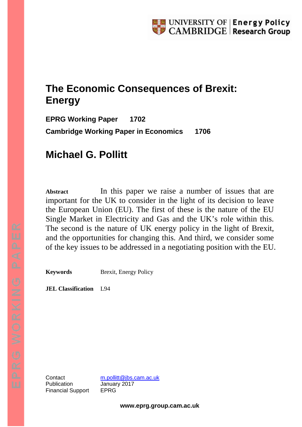# **The Economic Consequences of Brexit: Energy**

**EPRG Working Paper 1702 Cambridge Working Paper in Economics 1706**

# **Michael G. Pollitt**

Abstract **In this paper we raise a number of issues that are** important for the UK to consider in the light of its decision to leave the European Union (EU). The first of these is the nature of the EU Single Market in Electricity and Gas and the UK's role within this. The second is the nature of UK energy policy in the light of Brexit, and the opportunities for changing this. And third, we consider some of the key issues to be addressed in a negotiating position with the EU.

**Keywords** Brexit, Energy Policy

**JEL Classification** L94

Publication January 2017 Financial Support EPRG

Contact [m.pollitt@jbs.cam.ac.uk](mailto:m.pollitt@jbs.cam.ac.uk)

**www.eprg.group.cam.ac.uk**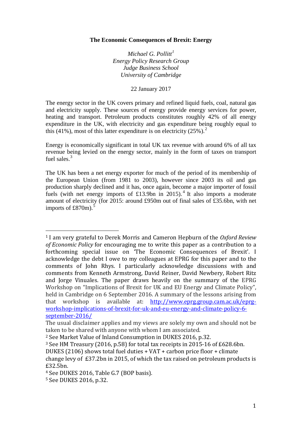#### **The Economic Consequences of Brexit: Energy**

*Michael G. Pollitt[1](#page-1-0) Energy Policy Research Group Judge Business School University of Cambridge*

22 January 2017

The energy sector in the UK covers primary and refined liquid fuels, coal, natural gas and electricity supply. These sources of energy provide energy services for power, heating and transport. Petroleum products constitutes roughly 42% of all energy expenditure in the UK, with electricity and gas expenditure being roughly equal to this (41%), most of this latter expenditure is on electricity ([2](#page-1-1)5%).<sup>2</sup>

Energy is economically significant in total UK tax revenue with around 6% of all tax revenue being levied on the energy sector, mainly in the form of taxes on transport fuel sales.<sup>[3](#page-1-2)</sup>

The UK has been a net energy exporter for much of the period of its membership of the European Union (from 1981 to 2003), however since 2003 its oil and gas production sharply declined and it has, once again, become a major importer of fossil fuels (with net energy imports of £13.9bn in 2015).<sup>[4](#page-1-3)</sup> It also imports a moderate amount of electricity (for 2015: around £950m out of final sales of £35.6bn, with net imports of  $£870m$ .<sup>[5](#page-1-4)</sup>

<span id="page-1-0"></span><sup>1</sup> I am very grateful to Derek Morris and Cameron Hepburn of the *Oxford Review of Economic Policy* for encouraging me to write this paper as a contribution to a forthcoming special issue on 'The Economic Consequences of Brexit'. I acknowledge the debt I owe to my colleagues at EPRG for this paper and to the comments of John Rhys. I particularly acknowledge discussions with and comments from Kenneth Armstrong, David Reiner, David Newbery, Robert Ritz and Jorge Vinuales. The paper draws heavily on the summary of the EPRG Workshop on "Implications of Brexit for UK and EU Energy and Climate Policy", held in Cambridge on 6 September 2016. A summary of the lessons arising from that workshop is available at: [http://www.eprg.group.cam.ac.uk/eprg](http://www.eprg.group.cam.ac.uk/eprg-workshop-implications-of-brexit-for-uk-and-eu-energy-and-climate-policy-6-september-2016/)[workshop-implications-of-brexit-for-uk-and-eu-energy-and-climate-policy-6](http://www.eprg.group.cam.ac.uk/eprg-workshop-implications-of-brexit-for-uk-and-eu-energy-and-climate-policy-6-september-2016/) [september-2016/](http://www.eprg.group.cam.ac.uk/eprg-workshop-implications-of-brexit-for-uk-and-eu-energy-and-climate-policy-6-september-2016/)

The usual disclaimer applies and my views are solely my own and should not be taken to be shared with anyone with whom I am associated.

<span id="page-1-1"></span><sup>2</sup> See Market Value of Inland Consumption in DUKES 2016, p.32.

<span id="page-1-2"></span><sup>3</sup> See HM Treasury (2016, p.58) for total tax receipts in 2015-16 of £628.6bn.

DUKES (2106) shows total fuel duties + VAT + carbon price floor + climate change levy of £37.2bn in 2015, of which the tax raised on petroleum products is

<sup>£32.5</sup>bn.

<span id="page-1-3"></span><sup>4</sup> See DUKES 2016, Table G.7 (BOP basis).

<span id="page-1-4"></span><sup>5</sup> See DUKES 2016, p.32.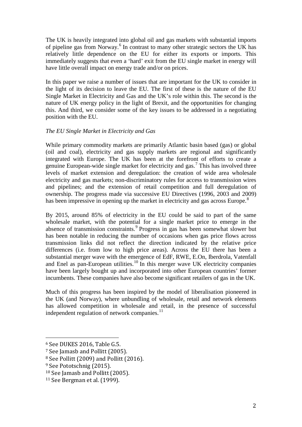The UK is heavily integrated into global oil and gas markets with substantial imports of pipeline gas from Norway.<sup>[6](#page-2-0)</sup> In contrast to many other strategic sectors the UK has relatively little dependence on the EU for either its exports or imports. This immediately suggests that even a 'hard' exit from the EU single market in energy will have little overall impact on energy trade and/or on prices.

In this paper we raise a number of issues that are important for the UK to consider in the light of its decision to leave the EU. The first of these is the nature of the EU Single Market in Electricity and Gas and the UK's role within this. The second is the nature of UK energy policy in the light of Brexit, and the opportunities for changing this. And third, we consider some of the key issues to be addressed in a negotiating position with the EU.

# *The EU Single Market in Electricity and Gas*

While primary commodity markets are primarily Atlantic basin based (gas) or global (oil and coal), electricity and gas supply markets are regional and significantly integrated with Europe. The UK has been at the forefront of efforts to create a genuine European-wide single market for electricity and gas.[7](#page-2-1) This has involved three levels of market extension and deregulation: the creation of wide area wholesale electricity and gas markets; non-discriminatory rules for access to transmission wires and pipelines; and the extension of retail competition and full deregulation of ownership. The progress made via successive EU Directives (1996, 2003 and 2009) has been impressive in opening up the market in electricity and gas across Europe.<sup>[8](#page-2-2)</sup>

By 2015, around 85% of electricity in the EU could be said to part of the same wholesale market, with the potential for a single market price to emerge in the absence of transmission constraints.<sup>[9](#page-2-3)</sup> Progress in gas has been somewhat slower but has been notable in reducing the number of occasions when gas price flows across transmission links did not reflect the direction indicated by the relative price differences (i.e. from low to high price areas). Across the EU there has been a substantial merger wave with the emergence of EdF, RWE, E.On, Iberdrola, Vatenfall and Enel as pan-European utilities.<sup>[10](#page-2-4)</sup> In this merger wave UK electricity companies have been largely bought up and incorporated into other European countries' former incumbents. These companies have also become significant retailers of gas in the UK.

Much of this progress has been inspired by the model of liberalisation pioneered in the UK (and Norway), where unbundling of wholesale, retail and network elements has allowed competition in wholesale and retail, in the presence of successful independent regulation of network companies. $^{11}$  $^{11}$  $^{11}$ 

<span id="page-2-0"></span><sup>6</sup> See DUKES 2016, Table G.5.

<span id="page-2-1"></span><sup>7</sup> See Jamasb and Pollitt (2005).

<span id="page-2-2"></span><sup>8</sup> See Pollitt (2009) and Pollitt (2016).

<span id="page-2-3"></span><sup>&</sup>lt;sup>9</sup> See Pototschnig (2015).

<span id="page-2-4"></span><sup>10</sup> See Jamasb and Pollitt (2005).

<span id="page-2-5"></span><sup>11</sup> See Bergman et al. (1999).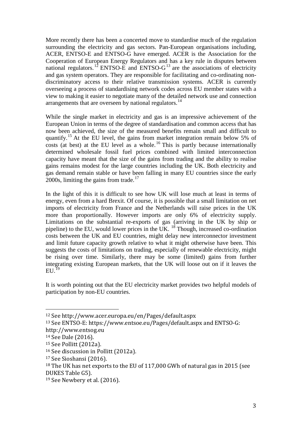More recently there has been a concerted move to standardise much of the regulation surrounding the electricity and gas sectors. Pan-European organisations including, ACER, ENTSO-E and ENTSO-G have emerged. ACER is the Association for the Cooperation of European Energy Regulators and has a key rule in disputes between national regulators.<sup>[12](#page-3-0)</sup> ENTSO-E and ENTSO- $G<sup>13</sup>$  $G<sup>13</sup>$  $G<sup>13</sup>$  are the associations of electricity and gas system operators. They are responsible for facilitating and co-ordinating nondiscriminatory access to their relative transmission systems. ACER is currently overseeing a process of standardising network codes across EU member states with a view to making it easier to negotiate many of the detailed network use and connection arrangements that are overseen by national regulators.<sup>[14](#page-3-2)</sup>

While the single market in electricity and gas is an impressive achievement of the European Union in terms of the degree of standardisation and common access that has now been achieved, the size of the measured benefits remain small and difficult to quantify.<sup>[15](#page-3-3)</sup> At the EU level, the gains from market integration remain below 5% of costs (at best) at the EU level as a whole.<sup>[16](#page-3-4)</sup> This is partly because internationally determined wholesale fossil fuel prices combined with limited interconnection capacity have meant that the size of the gains from trading and the ability to realise gains remains modest for the large countries including the UK. Both electricity and gas demand remain stable or have been falling in many EU countries since the early 2000s, limiting the gains from trade.<sup>[17](#page-3-5)</sup>

In the light of this it is difficult to see how UK will lose much at least in terms of energy, even from a hard Brexit. Of course, it is possible that a small limitation on net imports of electricity from France and the Netherlands will raise prices in the UK more than proportionally. However imports are only 6% of electricity supply. Limitations on the substantial re-exports of gas (arriving in the UK by ship or pipeline) to the EU, would lower prices in the UK.  $^{18}$  $^{18}$  $^{18}$  Though, increased co-ordination costs between the UK and EU countries, might delay new interconnector investment and limit future capacity growth relative to what it might otherwise have been. This suggests the costs of limitations on trading, especially of renewable electricity, might be rising over time. Similarly, there may be some (limited) gains from further integrating existing European markets, that the UK will loose out on if it leaves the  $EU<sup>19</sup>$  $EU<sup>19</sup>$  $EU<sup>19</sup>$ 

It is worth pointing out that the EU electricity market provides two helpful models of participation by non-EU countries.

<span id="page-3-0"></span><sup>12</sup> See http://www.acer.europa.eu/en/Pages/default.aspx

<span id="page-3-1"></span><sup>13</sup> See ENTSO-E: https://www.entsoe.eu/Pages/default.aspx and ENTSO-G:

http://www.entsog.eu

<span id="page-3-2"></span><sup>14</sup> See Dale (2016).

<span id="page-3-3"></span><sup>15</sup> See Pollitt (2012a).

<span id="page-3-4"></span><sup>16</sup> See discussion in Pollitt (2012a).

<span id="page-3-5"></span><sup>17</sup> See Sioshansi (2016).

<span id="page-3-6"></span><sup>18</sup> The UK has net exports to the EU of 117,000 GWh of natural gas in 2015 (see DUKES Table G5).

<span id="page-3-7"></span><sup>19</sup> See Newbery et al. (2016).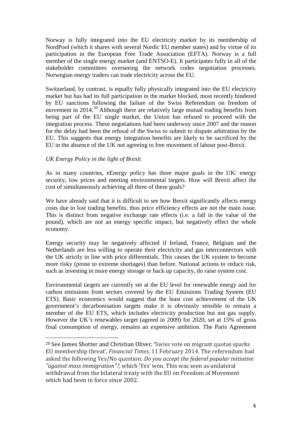Norway is fully integrated into the EU electricity market by its membership of NordPool (which it shares with several Nordic EU member states) and by virtue of its participation in the European Free Trade Association (EFTA). Norway is a full member of the single energy market (and ENTSO-E). It participates fully in all of the stakeholder committees overseeing the network codes negotiation processes. Norwegian energy traders can trade electricity across the EU.

Switzerland, by contrast, is equally fully physically integrated into the EU electricity market but has had its full participation in the market blocked, most recently hindered by EU sanctions following the failure of the Swiss Referendum on freedom of movement in [20](#page-4-0)14.<sup>20</sup> Although there are relatively large mutual trading benefits from being part of the EU single market, the Union has refused to proceed with the integration process. These negotiations had been underway since 2007 and the reason for the delay had been the refusal of the Swiss to submit to dispute arbitration by the EU. This suggests that energy integration benefits are likely to be sacrificed by the EU in the absence of the UK not agreeing to free movement of labour post-Brexit.

# *UK Energy Policy in the light of Brexit*

 $\overline{a}$ 

As in many countries, eEnergy policy has three major goals in the UK: energy security, low prices and meeting environmental targets. How will Brexit affect the cost of simultaneously achieving all three of these goals?

We have already said that it is difficult to see how Brexit significantly affects energy costs due to lost trading benefits, thus price efficiency effects are not the main issue. This is distinct from negative exchange rate effects (i.e. a fall in the value of the pound), which are not an energy specific impact, but negatively effect the whole economy.

Energy security may be negatively affected if Ireland, France, Belgium and the Netherlands are less willing to operate their electricity and gas interconnectors with the UK strictly in line with price differentials. This causes the UK system to become more risky (prone to extreme shortages) than before. National actions to reduce risk, such as investing in more energy storage or back up capacity, do raise system cost.

Environmental targets are currently set at the EU level for renewable energy and for carbon emissions from sectors covered by the EU Emissions Trading System (EU ETS). Basic economics would suggest that the least cost achievement of the UK government's decarbonisation targets make it is obviously sensible to remain a member of the EU ETS, which includes electricity production but not gas supply. However the UK's renewables target (agreed in 2009) for 2020, set at 15% of gross final consumption of energy, remains an expensive ambition. The Paris Agreement

<span id="page-4-0"></span><sup>20</sup> See James Shotter and Christian Oliver, 'Swiss vote on migrant quotas sparks EU membership threat', *Financial Times*, 11 February 2014. The referendum had asked the following Yes/No question: *Do you accept the federal popular initiative "against mass immigration"?,* which 'Yes' won. This was seen as unilateral withdrawal from the bilateral treaty with the EU on Freedom of Movement which had been in force since 2002.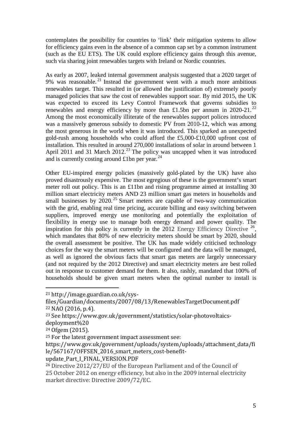contemplates the possibility for countries to 'link' their mitigation systems to allow for efficiency gains even in the absence of a common cap set by a common instrument (such as the EU ETS). The UK could explore efficiency gains through this avenue, such via sharing joint renewables targets with Ireland or Nordic countries.

As early as 2007, leaked internal government analysis suggested that a 2020 target of 9% was reasonable.<sup>[21](#page-5-0)</sup> Instead the government went with a much more ambitious renewables target. This resulted in (or allowed the justification of) extremely poorly managed policies that saw the cost of renewables support soar. By mid 2015, the UK was expected to exceed its Levy Control Framework that governs subsidies to renewables and energy efficiency by more than £1.5bn per annum in 2020-21.<sup>[22](#page-5-1)</sup> Among the most economically illiterate of the renewables support polices introduced was a massively generous subsidy to domestic PV from 2010-12, which was among the most generous in the world when it was introduced. This sparked an unexpected gold-rush among households who could afford the £5,000-£10,000 upfront cost of installation. This resulted in around 270,000 installations of solar in around between 1 April 2011 and 31 March 2012.<sup>[23](#page-5-2)</sup> The policy was uncapped when it was introduced and is currently costing around  $£1$ bn per year.<sup>[24](#page-5-3)</sup>

Other EU-inspired energy policies (massively gold-plated by the UK) have also proved disastrously expensive. The most egregious of these is the government's smart meter roll out policy. This is an £11bn and rising programme aimed at installing 30 million smart electricity meters AND 23 million smart gas meters in households and small businesses by  $2020$ .<sup>[25](#page-5-4)</sup> Smart meters are capable of two-way communication with the grid, enabling real time pricing, accurate billing and easy switching between suppliers, improved energy use monitoring and potentially the exploitation of flexibility in energy use to manage both energy demand and power quality. The inspiration for this policy is currently in the 2012 Energy Efficiency Directive  $^{26}$  $^{26}$  $^{26}$ , which mandates that 80% of new electricity meters should be smart by 2020, should the overall assessment be positive. The UK has made widely criticised technology choices for the way the smart meters will be configured and the data will be managed, as well as ignored the obvious facts that smart gas meters are largely unnecessary (and not required by the 2012 Directive) and smart electricity meters are best rolled out in response to customer demand for them. It also, rashly, mandated that 100% of households should be given smart meters when the optimal number to install is

 $\overline{a}$ 

update Part I FINAL VERSION.PDF

<span id="page-5-0"></span><sup>21</sup> http://image.guardian.co.uk/sys-

<span id="page-5-1"></span>files/Guardian/documents/2007/08/13/RenewablesTargetDocument.pdf <sup>22</sup> NAO (2016, p.4).

<span id="page-5-2"></span><sup>23</sup> See https://www.gov.uk/government/statistics/solar-photovoltaics-

deployment%20 <sup>24</sup> Ofgem (2015).

<span id="page-5-4"></span><span id="page-5-3"></span><sup>25</sup> For the latest government impact assessment see:

https://www.gov.uk/government/uploads/system/uploads/attachment\_data/fi le/567167/OFFSEN\_2016\_smart\_meters\_cost-benefit-

<span id="page-5-5"></span><sup>26</sup> Directive 2012/27/EU of the European Parliament and of the Council of 25 October 2012 on energy efficiency, but also in the 2009 internal electricity market directive: Directive 2009/72/EC.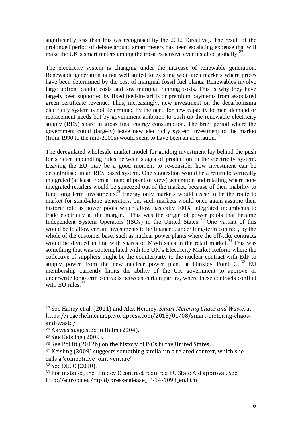significantly less than this (as recognised by the 2012 Directive). The result of the prolonged period of debate around smart meters has been escalating expense that will make the UK's smart meters among the most expensive ever installed globally.<sup>[27](#page-6-0)</sup>

The electricity system is changing under the increase of renewable generation. Renewable generation is not well suited to existing wide area markets where prices have been determined by the cost of marginal fossil fuel plants. Renewables involve large upfront capital costs and low marginal running costs. This is why they have largely been supported by fixed feed-in-tariffs or premium payments from associated green certificate revenue. Thus, increasingly, new investment on the decarbonising electricity system is not determined by the need for new capacity to meet demand or replacement needs but by government ambition to push up the renewable electricity supply (RES) share in gross final energy consumption. The brief period where the government could (largely) leave new electricity system investment to the market (from 1990 to the mid-2000s) would seem to have been an aberration.<sup>[28](#page-6-1)</sup>

The deregulated wholesale market model for guiding investment lay behind the push for stricter unbundling rules between stages of production in the electricity system. Leaving the EU may be a good moment to re-consider how investment can be decentralised in an RES based system. One suggestion would be a return to vertically integrated (at least from a financial point of view) generation and retailing where nonintegrated retailers would be squeezed out of the market, because of their inability to fund long term investments.<sup>[29](#page-6-2)</sup> Energy only markets would cease to be the route to market for stand-alone generators, but such markets would once again assume their historic role as power pools which allow basically 100% integrated incumbents to trade electricity at the margin. This was the origin of power pools that became Independent System Operators (ISOs) in the United States.<sup>[30](#page-6-3)</sup> One variant of this would be to allow certain investments to be financed, under long-term contract, by the whole of the customer base, such as nuclear power plants where the off-take contracts would be divided in line with shares of MWh sales in the retail market.<sup>[31](#page-6-4)</sup> This was something that was contemplated with the UK's Electricity Market Reform where the collective of suppliers might be the counterparty to the nuclear contract with EdF to supply power from the new nuclear power plant at Hinkley Point C.  $32$  EU membership currently limits the ability of the UK government to approve or underwrite long-term contracts between certain parties, where these contracts conflict with EU rules. $3$ 

 $\overline{a}$ 

<span id="page-6-5"></span><sup>32</sup> See DECC (2010).

<span id="page-6-0"></span><sup>27</sup> See Haney et al. (2011) and Alex Henney, *Smart Metering Chaos and Waste*, at https://rogerhelmermep.wordpress.com/2015/01/08/smart-metering-chaosand-waste/

<span id="page-6-1"></span><sup>28</sup> As was suggested in Helm (2004).

<span id="page-6-2"></span><sup>29</sup> See Keisling (2009).

<span id="page-6-3"></span><sup>30</sup> See Pollitt (2012b) on the history of ISOs in the United States.

<span id="page-6-4"></span><sup>31</sup> Keisling (2009) suggests something similar in a related context, which she calls a 'competitive joint venture'.

<span id="page-6-6"></span><sup>33</sup> For instance, the Hinkley C contract required EU State Aid approval. See: http://europa.eu/rapid/press-release\_IP-14-1093\_en.htm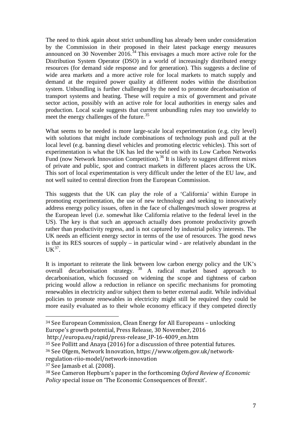The need to think again about strict unbundling has already been under consideration by the Commission in their proposed in their latest package energy measures announced on 30 November 2016.<sup>[34](#page-7-0)</sup> This envisages a much more active role for the Distribution System Operator (DSO) in a world of increasingly distributed energy resources (for demand side response and for generation). This suggests a decline of wide area markets and a more active role for local markets to match supply and demand at the required power quality at different nodes within the distribution system. Unbundling is further challenged by the need to promote decarbonisation of transport systems and heating. These will require a mix of government and private sector action, possibly with an active role for local authorities in energy sales and production. Local scale suggests that current unbundling rules may too unwieldy to meet the energy challenges of the future.<sup>[35](#page-7-1)</sup>

What seems to be needed is more large-scale local experimentation (e.g. city level) with solutions that might include combinations of technology push and pull at the local level (e.g. banning diesel vehicles and promoting electric vehicles). This sort of experimentation is what the UK has led the world on with its Low Carbon Networks Fund (now Network Innovation Competition).<sup>[36](#page-7-2)</sup> It is likely to suggest different mixes of private and public, spot and contract markets in different places across the UK. This sort of local experimentation is very difficult under the letter of the EU law, and not well suited to central direction from the European Commission.

This suggests that the UK can play the role of a 'California' within Europe in promoting experimentation, the use of new technology and seeking to innovatively address energy policy issues, often in the face of challenges/much slower progress at the European level (i.e. somewhat like California relative to the federal level in the US). The key is that such an approach actually does promote productivity growth rather than productivity regress, and is not captured by industrial policy interests. The UK needs an efficient energy sector in terms of the use of resources. The good news is that its RES sources of supply – in particular wind - are relatively abundant in the  $UK^{37}$  $UK^{37}$  $UK^{37}$ .

It is important to reiterate the link between low carbon energy policy and the UK's overall decarbonisation strategy.<sup>[38](#page-7-4)</sup> A radical market based approach to decarbonisation, which focussed on widening the scope and tightness of carbon pricing would allow a reduction in reliance on specific mechanisms for promoting renewables in electricity and/or subject them to better external audit. While individual policies to promote renewables in electricity might still be required they could be more easily evaluated as to their whole economy efficacy if they competed directly

http://europa.eu/rapid/press-release\_IP-16-4009\_en.htm

<span id="page-7-1"></span><sup>35</sup> See Pollitt and Anaya (2016) for a discussion of three potential futures.

regulation-riio-model/network-innovation

<span id="page-7-3"></span><sup>37</sup> See Jamasb et al. (2008).

<span id="page-7-0"></span><sup>34</sup> See European Commission, Clean Energy for All Europeans – unlocking Europe's growth potential, Press Release, 30 November, 2016

<span id="page-7-2"></span><sup>36</sup> See Ofgem, Network Innovation, https://www.ofgem.gov.uk/network-

<span id="page-7-4"></span><sup>38</sup> See Cameron Hepburn's paper in the forthcoming *Oxford Review of Economic Policy* special issue on 'The Economic Consequences of Brexit'.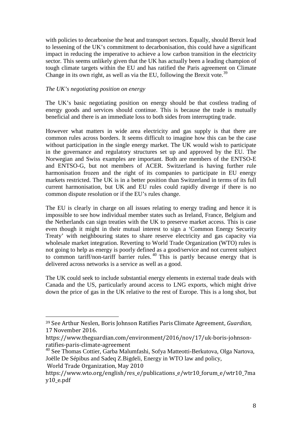with policies to decarbonise the heat and transport sectors. Equally, should Brexit lead to lessening of the UK's commitment to decarbonisation, this could have a significant impact in reducing the imperative to achieve a low carbon transition in the electricity sector. This seems unlikely given that the UK has actually been a leading champion of tough climate targets within the EU and has ratified the Paris agreement on Climate Change in its own right, as well as via the EU, following the Brexit vote.<sup>[39](#page-8-0)</sup>

#### *The UK's negotiating position on energy*

The UK's basic negotiating position on energy should be that costless trading of energy goods and services should continue. This is because the trade is mutually beneficial and there is an immediate loss to both sides from interrupting trade.

However what matters in wide area electricity and gas supply is that there are common rules across borders. It seems difficult to imagine how this can be the case without participation in the single energy market. The UK would wish to participate in the governance and regulatory structures set up and approved by the EU. The Norwegian and Swiss examples are important. Both are members of the ENTSO-E and ENTSO-G, but not members of ACER. Switzerland is having further rule harmonisation frozen and the right of its companies to participate in EU energy markets restricted. The UK is in a better position than Switzerland in terms of its full current harmonisation, but UK and EU rules could rapidly diverge if there is no common dispute resolution or if the EU's rules change.

The EU is clearly in charge on all issues relating to energy trading and hence it is impossible to see how individual member states such as Ireland, France, Belgium and the Netherlands can sign treaties with the UK to preserve market access. This is case even though it might in their mutual interest to sign a 'Common Energy Security Treaty' with neighbouring states to share reserve electricity and gas capacity via wholesale market integration. Reverting to World Trade Organization (WTO) rules is not going to help as energy is poorly defined as a good/service and not current subject to common tariff/non-tariff barrier rules. [40](#page-8-1) This is partly because energy that is delivered across networks is a service as well as a good.

The UK could seek to include substantial energy elements in external trade deals with Canada and the US, particularly around access to LNG exports, which might drive down the price of gas in the UK relative to the rest of Europe. This is a long shot, but

World Trade Organization, May 2010

<span id="page-8-0"></span><sup>39</sup> See Arthur Neslen, Boris Johnson Ratifies Paris Climate Agreement, *Guardian*, 17 November 2016.

https://www.theguardian.com/environment/2016/nov/17/uk-boris-johnson-

<span id="page-8-1"></span><sup>&</sup>lt;sup>40</sup> See Thomas Cottier, Garba Malumfashi, Sofya Matteotti-Berkutova, Olga Nartova, Joëlle De Sépibus and Sadeq Z.Bigdeli, Energy in WTO law and policy,

https://www.wto.org/english/res\_e/publications\_e/wtr10\_forum\_e/wtr10\_7ma y10\_e.pdf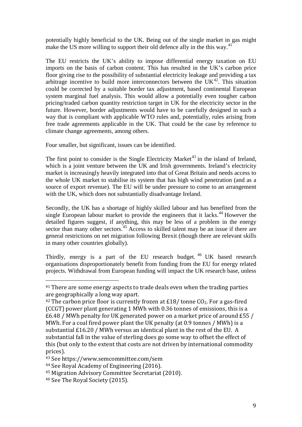potentially highly beneficial to the UK. Being out of the single market in gas might make the US more willing to support their old defence ally in the this way.<sup>[41](#page-9-0)</sup>

The EU restricts the UK's ability to impose differential energy taxation on EU imports on the basis of carbon content. This has resulted in the UK's carbon price floor giving rise to the possibility of substantial electricity leakage and providing a tax arbitrage incentive to build more interconnectors between the  $UK<sup>42</sup>$ . This situation could be corrected by a suitable border tax adjustment, based continental European system marginal fuel analysis. This would allow a potentially even tougher carbon pricing/traded carbon quantity restriction target in UK for the electricity sector in the future. However, border adjustments would have to be carefully designed in such a way that is compliant with applicable WTO rules and, potentially, rules arising from free trade agreements applicable in the UK. That could be the case by reference to climate change agreements, among others.

Four smaller, but significant, issues can be identified.

The first point to consider is the Single Electricity Market<sup>[43](#page-9-2)</sup> in the island of Ireland, which is a joint venture between the UK and Irish governments. Ireland's electricity market is increasingly heavily integrated into that of Great Britain and needs access to the whole UK market to stabilise its system that has high wind penetration (and as a source of export revenue). The EU will be under pressure to come to an arrangement with the UK, which does not substantially disadvantage Ireland.

Secondly, the UK has a shortage of highly skilled labour and has benefited from the single European labour market to provide the engineers that it lacks.<sup>[44](#page-9-3)</sup> However the detailed figures suggest, if anything, this may be less of a problem in the energy sector than many other sectors.<sup>[45](#page-9-4)</sup> Access to skilled talent may be an issue if there are general restrictions on net migration following Brexit (though there are relevant skills in many other countries globally).

Thirdly, energy is a part of the EU research budget.  $46$  UK based research organisations disproportionately benefit from funding from the EU for energy related projects. Withdrawal from European funding will impact the UK research base, unless

<span id="page-9-0"></span><sup>&</sup>lt;sup>41</sup> There are some energy aspects to trade deals even when the trading parties are geographically a long way apart.

<span id="page-9-1"></span><sup>&</sup>lt;sup>42</sup> The carbon price floor is currently frozen at £18/ tonne  $CO<sub>2</sub>$ . For a gas-fired (CCGT) power plant generating 1 MWh with 0.36 tonnes of emissions, this is a £6.48 / MWh penalty for UK generated power on a market price of around £55 / MWh. For a coal fired power plant the UK penalty (at 0.9 tonnes / MWh) is a substantial £16.20 / MWh versus an identical plant in the rest of the EU. A substantial fall in the value of sterling does go some way to offset the effect of this (but only to the extent that costs are not driven by international commodity prices).

<span id="page-9-2"></span><sup>43</sup> See https://www.semcommittee.com/sem

<span id="page-9-3"></span><sup>44</sup> See Royal Academy of Engineering (2016).

<span id="page-9-4"></span><sup>45</sup> Migration Advisory Committee Secretariat (2010).

<span id="page-9-5"></span><sup>46</sup> See The Royal Society (2015).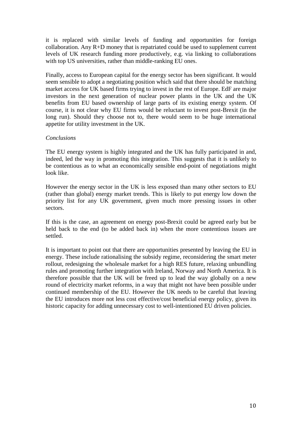it is replaced with similar levels of funding and opportunities for foreign collaboration. Any R+D money that is repatriated could be used to supplement current levels of UK research funding more productively, e.g. via linking to collaborations with top US universities, rather than middle-ranking EU ones.

Finally, access to European capital for the energy sector has been significant. It would seem sensible to adopt a negotiating position which said that there should be matching market access for UK based firms trying to invest in the rest of Europe. EdF are major investors in the next generation of nuclear power plants in the UK and the UK benefits from EU based ownership of large parts of its existing energy system. Of course, it is not clear why EU firms would be reluctant to invest post-Brexit (in the long run). Should they choose not to, there would seem to be huge international appetite for utility investment in the UK.

#### *Conclusions*

The EU energy system is highly integrated and the UK has fully participated in and, indeed, led the way in promoting this integration. This suggests that it is unlikely to be contentious as to what an economically sensible end-point of negotiations might look like.

However the energy sector in the UK is less exposed than many other sectors to EU (rather than global) energy market trends. This is likely to put energy low down the priority list for any UK government, given much more pressing issues in other sectors.

If this is the case, an agreement on energy post-Brexit could be agreed early but be held back to the end (to be added back in) when the more contentious issues are settled.

It is important to point out that there are opportunities presented by leaving the EU in energy. These include rationalising the subsidy regime, reconsidering the smart meter rollout, redesigning the wholesale market for a high RES future, relaxing unbundling rules and promoting further integration with Ireland, Norway and North America. It is therefore possible that the UK will be freed up to lead the way globally on a new round of electricity market reforms, in a way that might not have been possible under continued membership of the EU. However the UK needs to be careful that leaving the EU introduces more not less cost effective/cost beneficial energy policy, given its historic capacity for adding unnecessary cost to well-intentioned EU driven policies.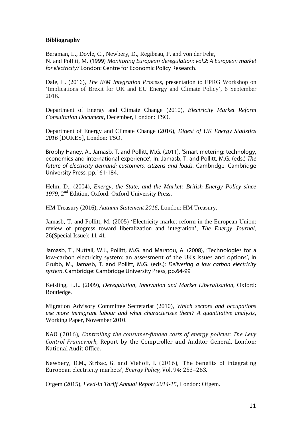### **Bibliography**

Bergman, L., Doyle, C., Newbery, D., Regibeau, P. and von der Fehr, N. and Pollitt, M. (1999) *Monitoring European deregulation: vol.2: A European market for electricity?* London: Centre for Economic Policy Research.

Dale, L. (2016), *The IEM Integration Process*, presentation to EPRG Workshop on 'Implications of Brexit for UK and EU Energy and Climate Policy', 6 September 2016.

Department of Energy and Climate Change (2010), *Electricity Market Reform Consultation Document*, December, London: TSO.

Department of Energy and Climate Change (2016), *Digest of UK Energy Statistics 2016* [DUKES], London: TSO.

Brophy Haney, A., Jamasb, T. and Pollitt, M.G. (2011), 'Smart metering: technology, economics and international experience', In: Jamasb, T. and Pollitt, M.G. (eds.) *The future of electricity demand: customers, citizens and loads.* Cambridge: Cambridge University Press, pp.161-184.

Helm, D., (2004), *Energy, the State, and the Market: British Energy Policy since 1979*, 2nd Edition, Oxford: Oxford University Press.

HM Treasury (2016), *Autumn Statement 2016*, London: HM Treasury.

Jamasb, T. and Pollitt, M. (2005) ['Electricity market reform in the European Union:](http://www.jstor.org/stable/23297005)  [review of progress toward liberalization and integration',](http://www.jstor.org/stable/23297005) *The Energy Journal*, 26(Special Issue): 11-41.

Jamasb, T., Nuttall, W.J., Pollitt, M.G. and Maratou, A. (2008), 'Technologies for a low-carbon electricity system: an assessment of the UK's issues and options', In Grubb, M., Jamasb, T. and Pollitt, M.G. (eds.): *Delivering a low carbon electricity system*. Cambridge: Cambridge University Press, pp.64-99

Keisling, L.L. (2009), *Deregulation, Innovation and Market Liberalization*, Oxford: Routledge.

Migration Advisory Committee Secretariat (2010), *Which sectors and occupations use more immigrant labour and what characterises them? A quantitative analysis*, Working Paper, November 2010.

NAO (2016), *Controlling the consumer-funded costs of energy policies: The Levy Control Framework*, Report by the Comptroller and Auditor General, London: National Audit Office.

Newbery, D.M., Strbac, G. and Viehoff, I. (2016), 'The benefits of integrating European electricity markets', *Energy Policy,* Vol. 94: 253–263.

Ofgem (2015), *Feed-in Tariff Annual Report 2014-15*, London: Ofgem.